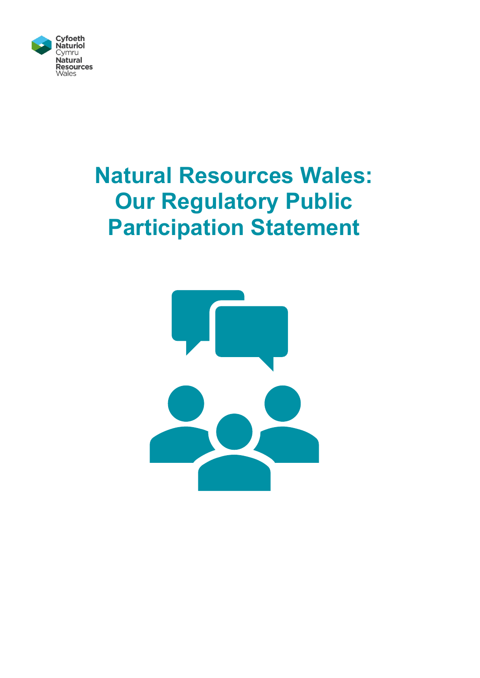

# **Natural Resources Wales: Our Regulatory Public Participation Statement**

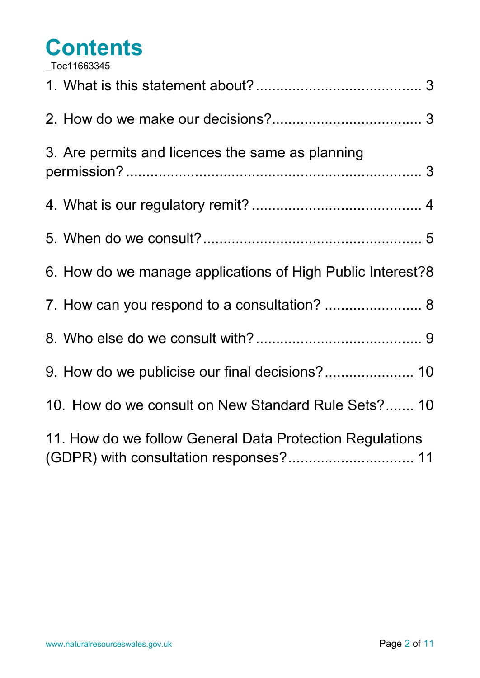# <span id="page-1-0"></span>**Contents** [\\_Toc11663345](#page-1-0)

| <b>UUUTTUUUT</b> U                                         |
|------------------------------------------------------------|
|                                                            |
| 3. Are permits and licences the same as planning           |
|                                                            |
|                                                            |
| 6. How do we manage applications of High Public Interest?8 |
| 7. How can you respond to a consultation?  8               |
|                                                            |
| 9. How do we publicise our final decisions? 10             |
| 10. How do we consult on New Standard Rule Sets? 10        |
| 11. How do we follow General Data Protection Regulations   |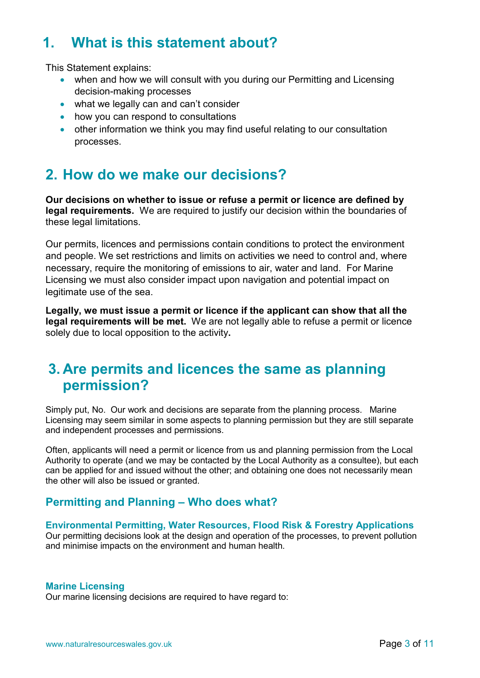# <span id="page-2-0"></span>**1. What is this statement about?**

This Statement explains:

- when and how we will consult with you during our Permitting and Licensing decision-making processes
- what we legally can and can't consider
- how you can respond to consultations
- other information we think you may find useful relating to our consultation processes.

# <span id="page-2-1"></span>**2. How do we make our decisions?**

**Our decisions on whether to issue or refuse a permit or licence are defined by legal requirements.** We are required to justify our decision within the boundaries of these legal limitations.

Our permits, licences and permissions contain conditions to protect the environment and people. We set restrictions and limits on activities we need to control and, where necessary, require the monitoring of emissions to air, water and land. For Marine Licensing we must also consider impact upon navigation and potential impact on legitimate use of the sea.

**Legally, we must issue a permit or licence if the applicant can show that all the legal requirements will be met.** We are not legally able to refuse a permit or licence solely due to local opposition to the activity**.** 

# <span id="page-2-2"></span>**3. Are permits and licences the same as planning permission?**

Simply put, No. Our work and decisions are separate from the planning process. Marine Licensing may seem similar in some aspects to planning permission but they are still separate and independent processes and permissions.

Often, applicants will need a permit or licence from us and planning permission from the Local Authority to operate (and we may be contacted by the Local Authority as a consultee), but each can be applied for and issued without the other; and obtaining one does not necessarily mean the other will also be issued or granted.

#### **Permitting and Planning – Who does what?**

#### **Environmental Permitting, Water Resources, Flood Risk & Forestry Applications**

Our permitting decisions look at the design and operation of the processes, to prevent pollution and minimise impacts on the environment and human health.

#### **Marine Licensing**

Our marine licensing decisions are required to have regard to: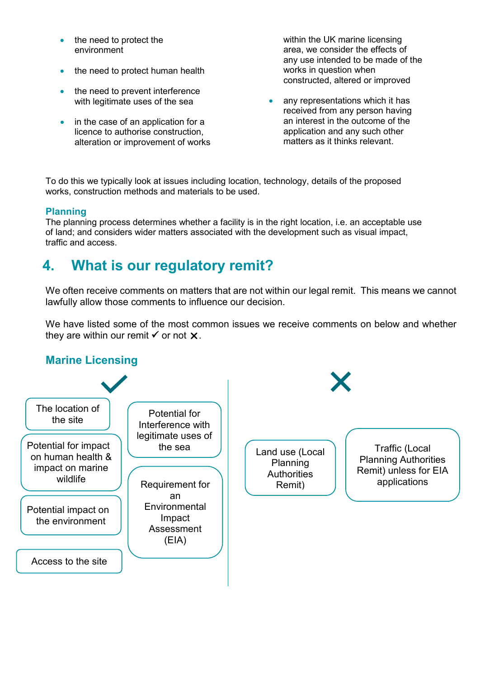- the need to protect the environment
- the need to protect human health
- the need to prevent interference with legitimate uses of the sea
- in the case of an application for a licence to authorise construction, alteration or improvement of works

within the UK marine licensing area, we consider the effects of any use intended to be made of the works in question when constructed, altered or improved

any representations which it has received from any person having an interest in the outcome of the application and any such other matters as it thinks relevant.

To do this we typically look at issues including location, technology, details of the proposed works, construction methods and materials to be used.

#### **Planning**

The planning process determines whether a facility is in the right location, i.e. an acceptable use of land; and considers wider matters associated with the development such as visual impact, traffic and access.

# <span id="page-3-0"></span>**4. What is our regulatory remit?**

We often receive comments on matters that are not within our legal remit. This means we cannot lawfully allow those comments to influence our decision.

We have listed some of the most common issues we receive comments on below and whether they are within our remit  $\checkmark$  or not  $\checkmark$ .

#### **Marine Licensing**

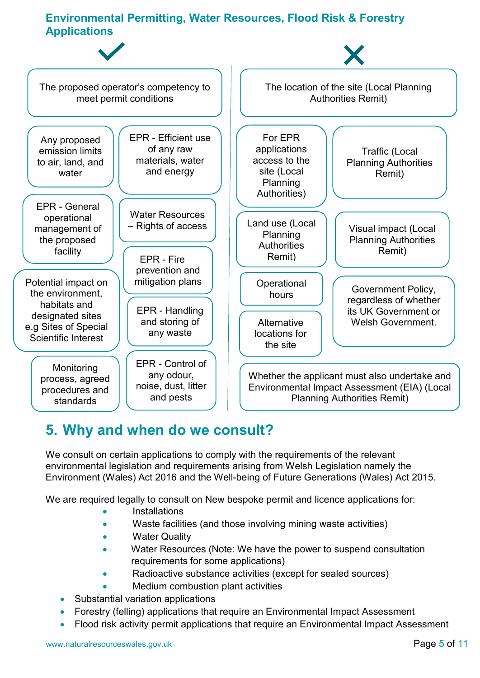### **Environmental Permitting, Water Resources, Flood Risk & Forestry Applications**



### <span id="page-4-0"></span>**5. Why and when do we consult?**

We consult on certain applications to comply with the requirements of the relevant environmental legislation and requirements arising from Welsh Legislation namely the Environment (Wales) Act 2016 and the Well-being of Future Generations (Wales) Act 2015.

We are required legally to consult on New bespoke permit and licence applications for:

- **Installations**
- Waste facilities (and those involving mining waste activities)
- **Water Quality**
- Water Resources (Note: We have the power to suspend consultation requirements for some applications)
- Radioactive substance activities (except for sealed sources)
- Medium combustion plant activities
- Substantial variation applications
- Forestry (felling) applications that require an Environmental Impact Assessment
- Flood risk activity permit applications that require an Environmental Impact Assessment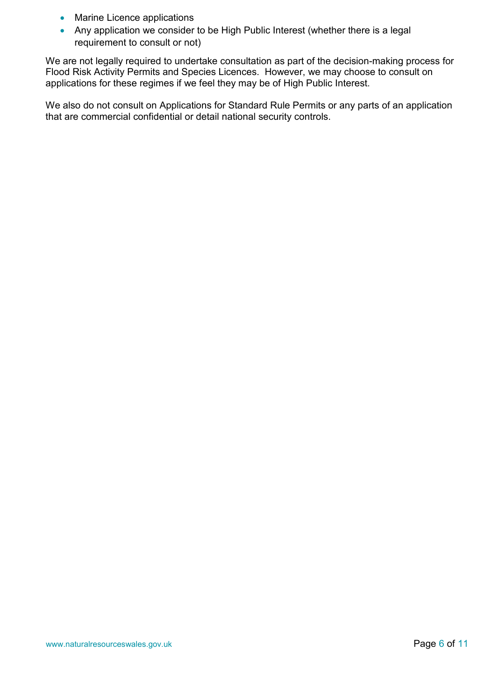- Marine Licence applications
- Any application we consider to be High Public Interest (whether there is a legal requirement to consult or not)

We are not legally required to undertake consultation as part of the decision-making process for Flood Risk Activity Permits and Species Licences. However, we may choose to consult on applications for these regimes if we feel they may be of High Public Interest.

We also do not consult on Applications for Standard Rule Permits or any parts of an application that are commercial confidential or detail national security controls.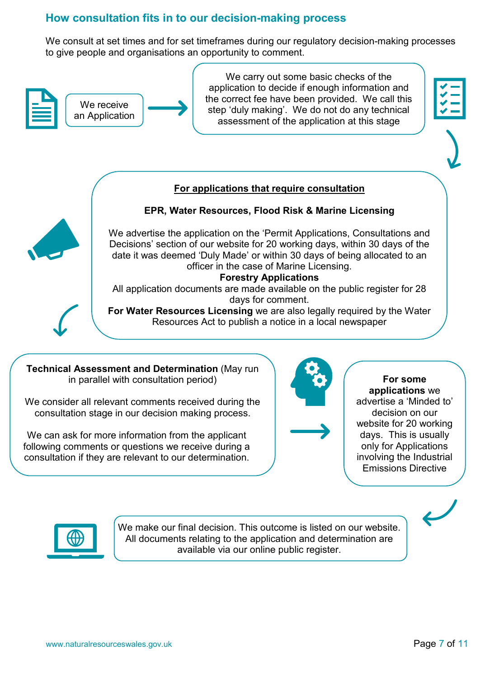#### **How consultation fits in to our decision-making process**

We consult at set times and for set timeframes during our regulatory decision-making processes to give people and organisations an opportunity to comment.



We carry out some basic checks of the application to decide if enough information and the correct fee have been provided. We call this step 'duly making'. We do not do any technical assessment of the application at this stage



#### **For applications that require consultation**



#### **EPR, Water Resources, Flood Risk & Marine Licensing**

We advertise the application on the 'Permit Applications, Consultations and Decisions' section of our website for 20 working days, within 30 days of the date it was deemed 'Duly Made' or within 30 days of being allocated to an officer in the case of Marine Licensing.

#### **Forestry Applications**

All application documents are made available on the public register for 28 days for comment.



**For Water Resources Licensing** we are also legally required by the Water Resources Act to publish a notice in a local newspaper

**Technical Assessment and Determination** (May run in parallel with consultation period)

We consider all relevant comments received during the consultation stage in our decision making process.

We can ask for more information from the applicant following comments or questions we receive during a consultation if they are relevant to our determination.



**For some applications** we advertise a 'Minded to' decision on our website for 20 working days. This is usually only for Applications involving the Industrial Emissions Directive



We make our final decision. This outcome is listed on our website. All documents relating to the application and determination are available via our online public register.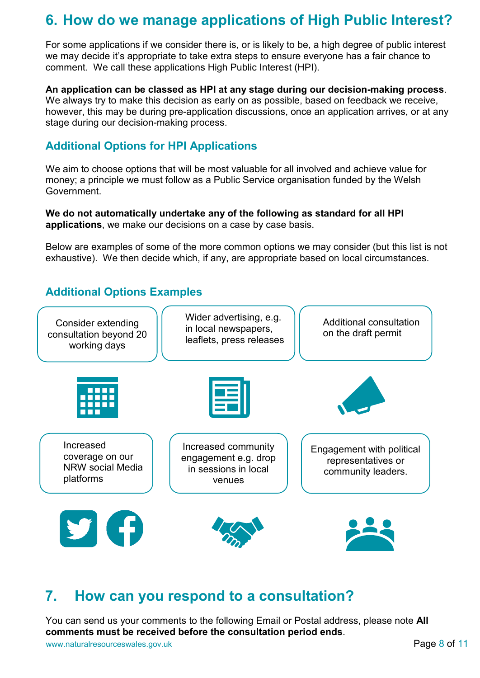# <span id="page-7-0"></span>**6. How do we manage applications of High Public Interest?**

For some applications if we consider there is, or is likely to be, a high degree of public interest we may decide it's appropriate to take extra steps to ensure everyone has a fair chance to comment. We call these applications High Public Interest (HPI).

#### **An application can be classed as HPI at any stage during our decision-making process**.

We always try to make this decision as early on as possible, based on feedback we receive, however, this may be during pre-application discussions, once an application arrives, or at any stage during our decision-making process.

#### **Additional Options for HPI Applications**

We aim to choose options that will be most valuable for all involved and achieve value for money; a principle we must follow as a Public Service organisation funded by the Welsh Government.

#### **We do not automatically undertake any of the following as standard for all HPI applications**, we make our decisions on a case by case basis.

Below are examples of some of the more common options we may consider (but this list is not exhaustive). We then decide which, if any, are appropriate based on local circumstances.

#### **Additional Options Examples**



### <span id="page-7-1"></span>**7. How can you respond to a consultation?**

You can send us your comments to the following Email or Postal address, please note **All comments must be received before the consultation period ends**.

www.naturalresourceswales.gov.uk Page 8 of 11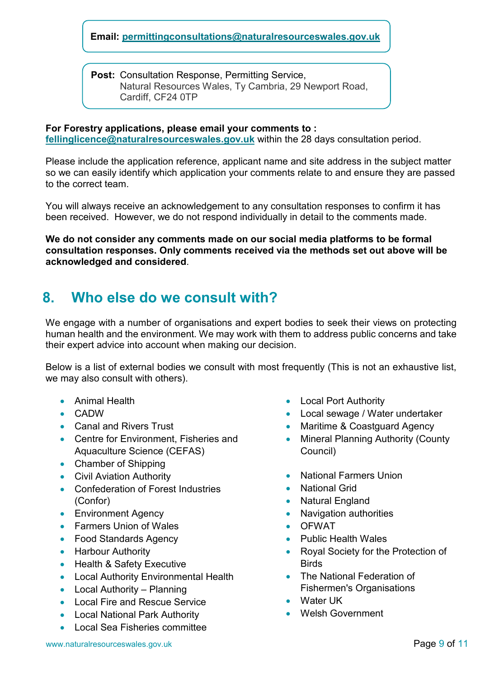#### **Email: [permittingconsultations@naturalresourceswales.gov.uk](mailto:permittingconsultations@naturalresourceswales.gov.uk)**

**Post:** Consultation Response, Permitting Service, Natural Resources Wales, Ty Cambria, 29 Newport Road, Cardiff, CF24 0TP

#### **For Forestry applications, please email your comments to :**

**[fellinglicence@naturalresourceswales.gov.uk](mailto:fellinglicence@naturalresourceswales.gov.uk)** within the 28 days consultation period.

Please include the application reference, applicant name and site address in the subject matter so we can easily identify which application your comments relate to and ensure they are passed to the correct team.

You will always receive an acknowledgement to any consultation responses to confirm it has been received. However, we do not respond individually in detail to the comments made.

**We do not consider any comments made on our social media platforms to be formal consultation responses. Only comments received via the methods set out above will be acknowledged and considered**.

### <span id="page-8-0"></span>**8. Who else do we consult with?**

We engage with a number of organisations and expert bodies to seek their views on protecting human health and the environment. We may work with them to address public concerns and take their expert advice into account when making our decision.

Below is a list of external bodies we consult with most frequently (This is not an exhaustive list, we may also consult with others).

- Animal Health
- CADW
- Canal and Rivers Trust
- Centre for Environment, Fisheries and Aquaculture Science (CEFAS)
- Chamber of Shipping
- Civil Aviation Authority
- Confederation of Forest Industries (Confor)
- Environment Agency
- Farmers Union of Wales
- Food Standards Agency
- Harbour Authority
- Health & Safety Executive
- Local Authority Environmental Health
- Local Authority Planning
- Local Fire and Rescue Service
- Local National Park Authority
- Local Sea Fisheries committee
- Local Port Authority
- Local sewage / Water undertaker
- Maritime & Coastguard Agency
- Mineral Planning Authority (County Council)
- National Farmers Union
- **National Grid**
- Natural England
- Navigation authorities
- OFWAT
- Public Health Wales
- Royal Society for the Protection of **Birds**
- The National Federation of Fishermen's Organisations
- Water UK
- Welsh Government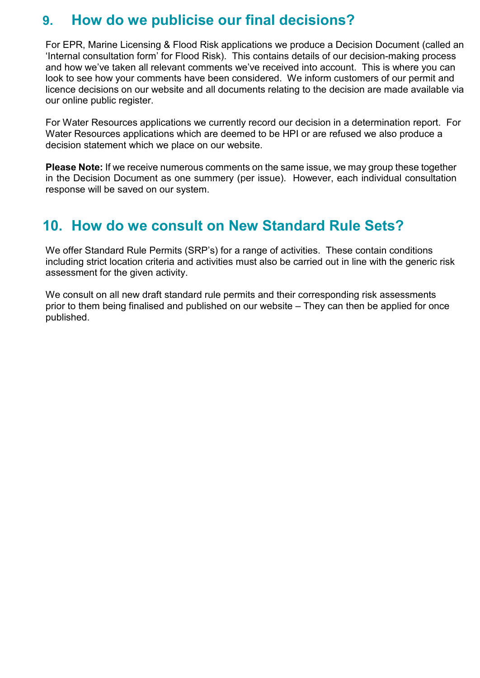# <span id="page-9-0"></span>**9. How do we publicise our final decisions?**

For EPR, Marine Licensing & Flood Risk applications we produce a Decision Document (called an 'Internal consultation form' for Flood Risk). This contains details of our decision-making process and how we've taken all relevant comments we've received into account. This is where you can look to see how your comments have been considered. We inform customers of our permit and licence decisions on our website and all documents relating to the decision are made available via our online public register.

For Water Resources applications we currently record our decision in a determination report. For Water Resources applications which are deemed to be HPI or are refused we also produce a decision statement which we place on our website.

**Please Note:** If we receive numerous comments on the same issue, we may group these together in the Decision Document as one summery (per issue). However, each individual consultation response will be saved on our system.

# <span id="page-9-1"></span>**10. How do we consult on New Standard Rule Sets?**

We offer Standard Rule Permits (SRP's) for a range of activities. These contain conditions including strict location criteria and activities must also be carried out in line with the generic risk assessment for the given activity.

We consult on all new draft standard rule permits and their corresponding risk assessments prior to them being finalised and published on our website – They can then be applied for once published.